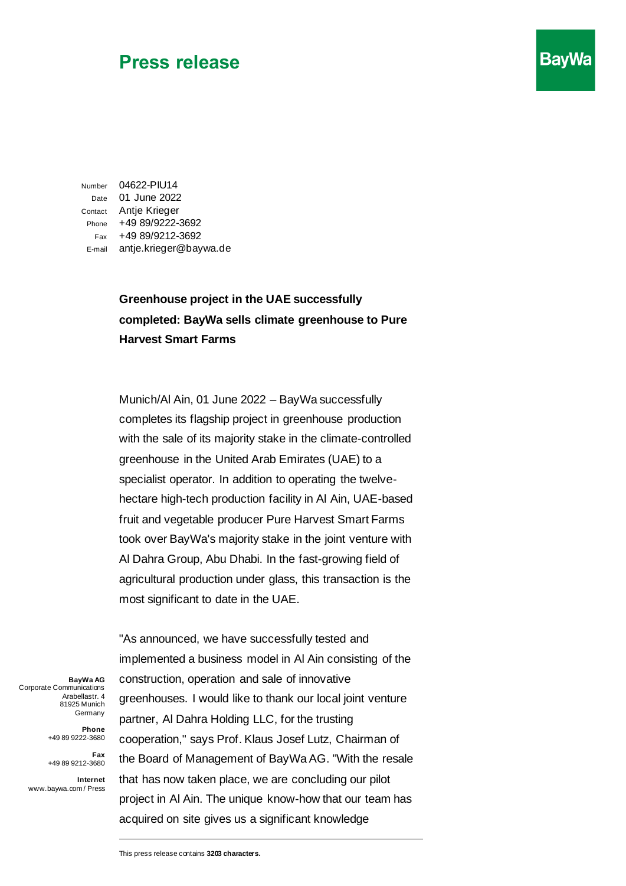## **Press release**

Number 04622-PIU14 Date 01 June 2022 Contact Antje Krieger Phone +49 89/9222-3692 Fax +49 89/9212-3692 E-mail antje.krieger@baywa.de

## **Greenhouse project in the UAE successfully completed: BayWa sells climate greenhouse to Pure Harvest Smart Farms**

**BayWa** 

Munich/Al Ain, 01 June 2022 – BayWa successfully completes its flagship project in greenhouse production with the sale of its majority stake in the climate-controlled greenhouse in the United Arab Emirates (UAE) to a specialist operator. In addition to operating the twelvehectare high-tech production facility in Al Ain, UAE-based fruit and vegetable producer Pure Harvest Smart Farms took over BayWa's majority stake in the joint venture with Al Dahra Group, Abu Dhabi. In the fast-growing field of agricultural production under glass, this transaction is the most significant to date in the UAE.

**BayWa AG** Corporate Communications Arabellastr. 4 81925 Munich Germany

> **Phone**  +49 89 9222-3680

**Fax**  +49 89 9212-3680

**Internet** www.baywa.com / Press

"As announced, we have successfully tested and implemented a business model in Al Ain consisting of the construction, operation and sale of innovative greenhouses. I would like to thank our local joint venture partner, Al Dahra Holding LLC, for the trusting cooperation," says Prof. Klaus Josef Lutz, Chairman of the Board of Management of BayWa AG. "With the resale that has now taken place, we are concluding our pilot project in Al Ain. The unique know-how that our team has acquired on site gives us a significant knowledge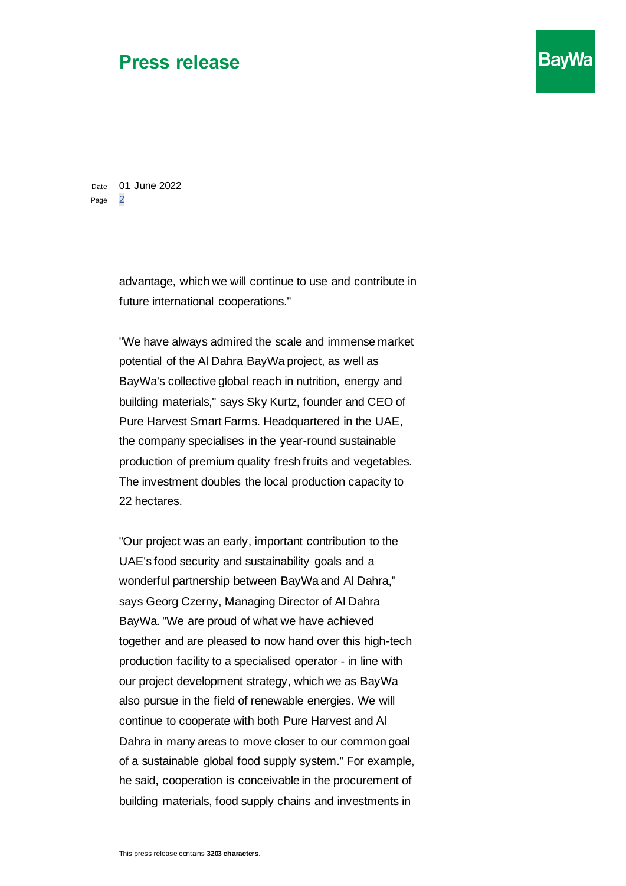## **Press release**

Date 01 June 2022 Page 2

> advantage, which we will continue to use and contribute in future international cooperations."

> "We have always admired the scale and immense market potential of the Al Dahra BayWa project, as well as BayWa's collective global reach in nutrition, energy and building materials," says Sky Kurtz, founder and CEO of Pure Harvest Smart Farms. Headquartered in the UAE, the company specialises in the year-round sustainable production of premium quality fresh fruits and vegetables. The investment doubles the local production capacity to 22 hectares.

> "Our project was an early, important contribution to the UAE's food security and sustainability goals and a wonderful partnership between BayWa and Al Dahra," says Georg Czerny, Managing Director of Al Dahra BayWa. "We are proud of what we have achieved together and are pleased to now hand over this high-tech production facility to a specialised operator - in line with our project development strategy, which we as BayWa also pursue in the field of renewable energies. We will continue to cooperate with both Pure Harvest and Al Dahra in many areas to move closer to our common goal of a sustainable global food supply system." For example, he said, cooperation is conceivable in the procurement of building materials, food supply chains and investments in